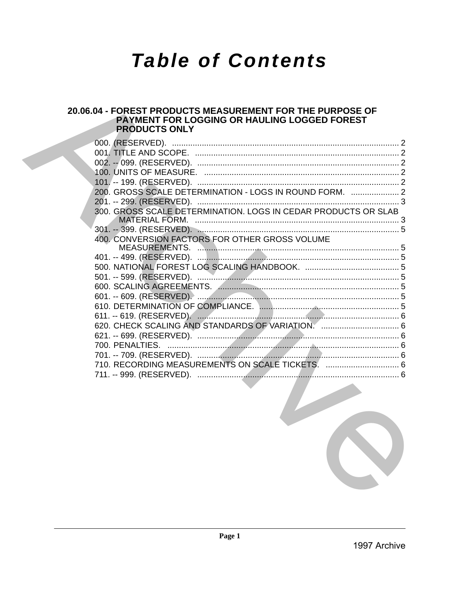# **Table of Contents**

# 20.06.04 - FOREST PRODUCTS MEASUREMENT FOR THE PURPOSE OF PAYMENT FOR LOGGING OR HAULING LOGGED FOREST **PRODUCTS ONLY**

| 300. GROSS SCALE DETERMINATION. LOGS IN CEDAR PRODUCTS OR SLAB<br>400. CONVERSION FACTORS FOR OTHER GROSS VOLUME<br>710. RECORDING MEASUREMENTS ON SCALE TICKETS.  6 |
|----------------------------------------------------------------------------------------------------------------------------------------------------------------------|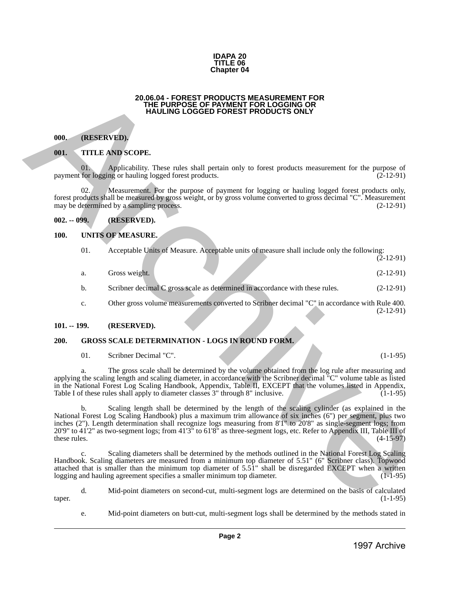

#### **20.06.04 - FOREST PRODUCTS MEASUREMENT FOR THE PURPOSE OF PAYMENT FOR LOGGING OR HAULING LOGGED FOREST PRODUCTS ONLY**

#### <span id="page-1-1"></span>**000. (RESERVED).**

#### <span id="page-1-2"></span>**001. TITLE AND SCOPE.**

#### <span id="page-1-3"></span>**002. -- 099. (RESERVED).**

#### <span id="page-1-4"></span>**100. UNITS OF MEASURE.**

<span id="page-1-0"></span>

|               |     | 20.06.04 - FOREST PRODUCTS MEASUREMENT FOR<br>THE PURPOSE OF PAYMENT FOR LOGGING OR<br><b>HAULING LOGGED FOREST PRODUCTS ONLY</b>                                                                                                                                                                                                                                                                                                                                           |
|---------------|-----|-----------------------------------------------------------------------------------------------------------------------------------------------------------------------------------------------------------------------------------------------------------------------------------------------------------------------------------------------------------------------------------------------------------------------------------------------------------------------------|
| 000.          |     | (RESERVED).                                                                                                                                                                                                                                                                                                                                                                                                                                                                 |
| 001.          |     | <b>TITLE AND SCOPE.</b>                                                                                                                                                                                                                                                                                                                                                                                                                                                     |
|               | 01. | Applicability. These rules shall pertain only to forest products measurement for the purpose of<br>payment for logging or hauling logged forest products.<br>$(2-12-91)$                                                                                                                                                                                                                                                                                                    |
|               | 02. | Measurement. For the purpose of payment for logging or hauling logged forest products only,<br>forest products shall be measured by gross weight, or by gross volume converted to gross decimal "C". Measurement<br>may be determined by a sampling process.<br>$(2-12-91)$                                                                                                                                                                                                 |
| $002. - 099.$ |     | (RESERVED).                                                                                                                                                                                                                                                                                                                                                                                                                                                                 |
| <b>100.</b>   |     | <b>UNITS OF MEASURE.</b>                                                                                                                                                                                                                                                                                                                                                                                                                                                    |
|               | 01. | Acceptable Units of Measure. Acceptable units of measure shall include only the following:<br>$(2-12-91)$                                                                                                                                                                                                                                                                                                                                                                   |
|               | a.  | Gross weight.<br>$(2-12-91)$                                                                                                                                                                                                                                                                                                                                                                                                                                                |
|               | b.  | Scribner decimal C gross scale as determined in accordance with these rules.<br>$(2-12-91)$                                                                                                                                                                                                                                                                                                                                                                                 |
|               | c.  | Other gross volume measurements converted to Scribner decimal "C" in accordance with Rule 400.<br>$(2-12-91)$                                                                                                                                                                                                                                                                                                                                                               |
| $101. - 199.$ |     | (RESERVED).                                                                                                                                                                                                                                                                                                                                                                                                                                                                 |
| 200.          |     | <b>GROSS SCALE DETERMINATION - LOGS IN ROUND FORM.</b>                                                                                                                                                                                                                                                                                                                                                                                                                      |
|               | 01. | Scribner Decimal "C".<br>$(1-1-95)$                                                                                                                                                                                                                                                                                                                                                                                                                                         |
|               |     | The gross scale shall be determined by the volume obtained from the log rule after measuring and<br>applying the scaling length and scaling diameter, in accordance with the Scribner decimal "C" volume table as listed<br>in the National Forest Log Scaling Handbook, Appendix, Table II, EXCEPT that the volumes listed in Appendix,<br>Table I of these rules shall apply to diameter classes 3" through 8" inclusive.<br>$(1-1-95)$                                   |
| these rules.  | b.  | Scaling length shall be determined by the length of the scaling cylinder (as explained in the<br>National Forest Log Scaling Handbook) plus a maximum trim allowance of six inches (6") per segment, plus two<br>inches (2"). Length determination shall recognize logs measuring from 8'1" to 20'8" as single-segment logs; from<br>20'9" to 41'2" as two-segment logs; from 41'3" to 61'8" as three-segment logs, etc. Refer to Appendix III, Table III of<br>$(4-15-97)$ |
|               | c.  | Scaling diameters shall be determined by the methods outlined in the National Forest Log Scaling<br>Handbook. Scaling diameters are measured from a minimum top diameter of 5.51" (6" Scribner class). Topwood<br>attached that is smaller than the minimum top diameter of 5.51" shall be disregarded EXCEPT when a written<br>logging and hauling agreement specifies a smaller minimum top diameter.<br>$(1-1-95)$                                                       |
|               |     |                                                                                                                                                                                                                                                                                                                                                                                                                                                                             |
| taper.        | d.  | Mid-point diameters on second-cut, multi-segment logs are determined on the basis of calculated<br>$(1-1-95)$                                                                                                                                                                                                                                                                                                                                                               |
|               | e.  | Mid-point diameters on butt-cut, multi-segment logs shall be determined by the methods stated in                                                                                                                                                                                                                                                                                                                                                                            |

#### <span id="page-1-5"></span>**101. -- 199. (RESERVED).**

### <span id="page-1-6"></span>**200. GROSS SCALE DETERMINATION - LOGS IN ROUND FORM.**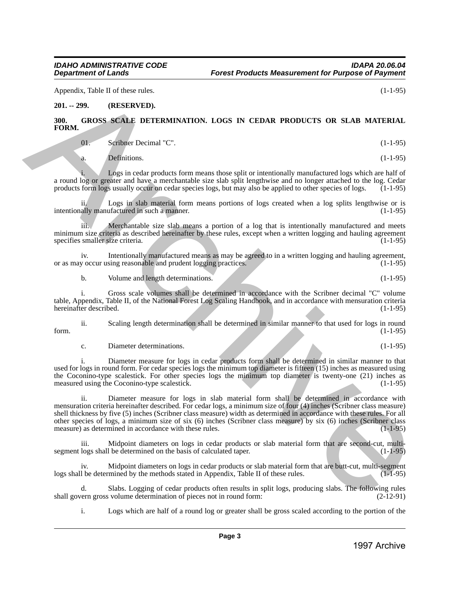Appendix, Table II of these rules. (1-1-95)

#### <span id="page-2-0"></span>**201. -- 299. (RESERVED).**

#### <span id="page-2-1"></span>**300. GROSS SCALE DETERMINATION. LOGS IN CEDAR PRODUCTS OR SLAB MATERIAL FORM.**

01. Scribner Decimal "C". (1-1-95)

a. Definitions. (1-1-95)

Logs in cedar products form means those split or intentionally manufactured logs which are half of a round log or greater and have a merchantable size slab split lengthwise and no longer attached to the log. Cedar<br>products form logs usually occur on cedar species logs, but may also be applied to other species of logs. ( products form logs usually occur on cedar species logs, but may also be applied to other species of logs.

ii. Logs in slab material form means portions of logs created when a log splits lengthwise or is ally manufactured in such a manner. (1-1-95) intentionally manufactured in such a manner.

iii. Merchantable size slab means a portion of a log that is intentionally manufactured and meets minimum size criteria as described hereinafter by these rules, except when a written logging and hauling agreement specifies smaller size criteria. (1-1-95) specifies smaller size criteria.

iv. Intentionally manufactured means as may be agreed to in a written logging and hauling agreement,<br>y occur using reasonable and prudent logging practices. (1-1-95) or as may occur using reasonable and prudent logging practices.

b. Volume and length determinations. (1-1-95)

i. Gross scale volumes shall be determined in accordance with the Scribner decimal "C" volume table, Appendix, Table II, of the National Forest Log Scaling Handbook, and in accordance with mensuration criteria hereinafter described.

ii. Scaling length determination shall be determined in similar manner to that used for logs in round form.  $(1-1-95)$ 

c. Diameter determinations. (1-1-95)

i. Diameter measure for logs in cedar products form shall be determined in similar manner to that used for logs in round form. For cedar species logs the minimum top diameter is fifteen (15) inches as measured using the Coconino-type scalestick. For other species logs the minimum top diameter is twenty-one (21) inches as measured using the Coconino-type scalestick.  $(1-1-95)$ measured using the Coconino-type scalestick.

ii. Diameter measure for logs in slab material form shall be determined in accordance with mensuration criteria hereinafter described. For cedar logs, a minimum size of four (4) inches (Scribner class measure) shell thickness by five (5) inches (Scribner class measure) width as determined in accordance with these rules. For all other species of logs, a minimum size of six (6) inches (Scribner class measure) by six (6) inches (Scribner class measure) as determined in accordance with these rules. Ayouth. 1994 Like tokes, the method is a strengthenium of the strengthenium of the strengthenium of the strengthenium of the strengthenium of the strengthenium of the strengthenium of the strengthenium of the strengtheniu

Midpoint diameters on logs in cedar products or slab material form that are second-cut, multisegment logs shall be determined on the basis of calculated taper. (1-1-95)

iv. Midpoint diameters on logs in cedar products or slab material form that are butt-cut, multi-segment logs shall be determined by the methods stated in Appendix, Table II of these rules. (1-1-95)

d. Slabs. Logging of cedar products often results in split logs, producing slabs. The following rules shall govern gross volume determination of pieces not in round form:

i. Logs which are half of a round log or greater shall be gross scaled according to the portion of the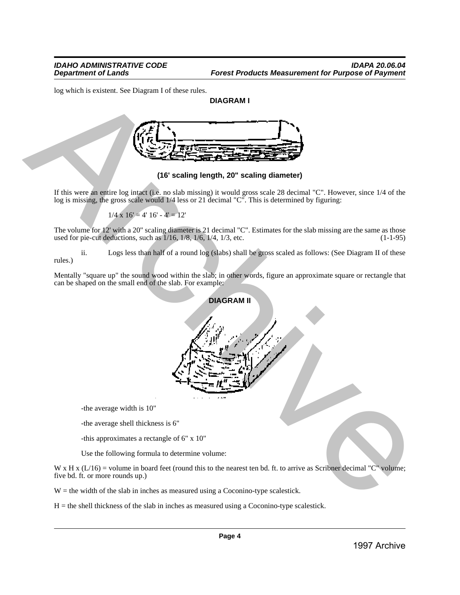log which is existent. See Diagram I of these rules.

# **DIAGRAM I**



**(16' scaling length, 20" scaling diameter)**

If this were an entire log intact (i.e. no slab missing) it would gross scale 28 decimal "C". However, since 1/4 of the log is missing, the gross scale would 1/4 less or 21 decimal "C". This is determined by figuring:

$$
1/4 \times 16' = 4' 16' - 4' = 12'
$$

The volume for 12' with a 20" scaling diameter is 21 decimal "C". Estimates for the slab missing are the same as those used for pie-cut deductions, such as  $1/16$ ,  $1/8$ ,  $1/6$ ,  $1/4$ ,  $1/3$ , etc. (1-1-95) used for pie-cut deductions, such as  $1/16$ ,  $1/8$ ,  $1/6$ ,  $1/4$ ,  $1/3$ , etc.

ii. Logs less than half of a round log (slabs) shall be gross scaled as follows: (See Diagram II of these rules.)

Mentally "square up" the sound wood within the slab; in other words, figure an approximate square or rectangle that can be shaped on the small end of the slab. For example:



-the average width is 10"

-the average shell thickness is 6"

-this approximates a rectangle of 6" x 10"

Use the following formula to determine volume:

W x H x  $(L/16)$  = volume in board feet (round this to the nearest ten bd. ft. to arrive as Scribner decimal "C" volume; five bd. ft. or more rounds up.)

 $W =$  the width of the slab in inches as measured using a Coconino-type scalestick.

 $H =$  the shell thickness of the slab in inches as measured using a Coconino-type scalestick.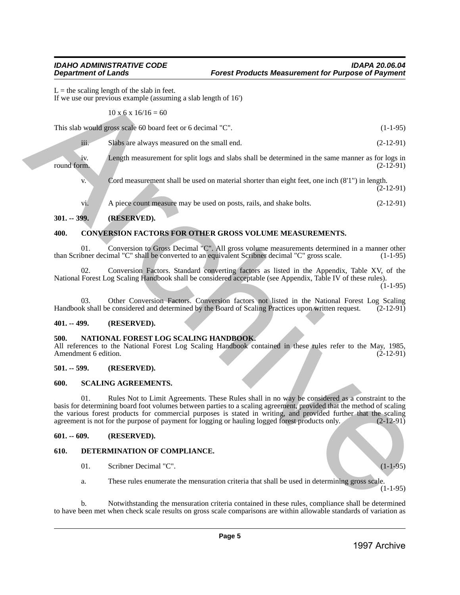$L =$  the scaling length of the slab in feet. If we use our previous example (assuming a slab length of 16')

 $10 \times 6 \times 16/16 = 60$ 

This slab would gross scale 60 board feet or 6 decimal "C". (1-1-95)

| iii. | Slabs are always measured on the small end. | $(2-12-91)$ |
|------|---------------------------------------------|-------------|
|------|---------------------------------------------|-------------|

iv. Length measurement for split logs and slabs shall be determined in the same manner as for logs in round form. (2-12-91) round form.  $(2-12-91)$ 

v. Cord measurement shall be used on material shorter than eight feet, one inch (8'1") in length.  $(2-12-91)$ 

vi. A piece count measure may be used on posts, rails, and shake bolts. (2-12-91)

# <span id="page-4-0"></span>**301. -- 399. (RESERVED).**

## <span id="page-4-1"></span>**400. CONVERSION FACTORS FOR OTHER GROSS VOLUME MEASUREMENTS.**

01. Conversion to Gross Decimal "C". All gross volume measurements determined in a manner other between the converted to an equivalent Scribner decimal "C" gross scale. (1-1-95) than Scribner decimal "C" shall be converted to an equivalent Scribner decimal "C" gross scale.

02. Conversion Factors. Standard converting factors as listed in the Appendix, Table XV, of the National Forest Log Scaling Handbook shall be considered acceptable (see Appendix, Table IV of these rules).  $(1-1-95)$ 

03. Other Conversion Factors. Conversion factors not listed in the National Forest Log Scaling of the Board of Scaling Practices upon written request. (2-12-91) Handbook shall be considered and determined by the Board of Scaling Practices upon written request.

### <span id="page-4-2"></span>**401. -- 499. (RESERVED).**

## <span id="page-4-3"></span>**500. NATIONAL FOREST LOG SCALING HANDBOOK.**

All references to the National Forest Log Scaling Handbook contained in these rules refer to the May, 1985,<br>(2-12-91) (2-12-91) Amendment 6 edition.

### <span id="page-4-4"></span>**501. -- 599. (RESERVED).**

### <span id="page-4-5"></span>**600. SCALING AGREEMENTS.**

01. Rules Not to Limit Agreements. These Rules shall in no way be considered as a constraint to the basis for determining board foot volumes between parties to a scaling agreement, provided that the method of scaling the various forest products for commercial purposes is stated in writing, and provided further that the scaling agreement is not for the purpose of payment for logging or hauling logged forest products only. (2-12-91) agreement is not for the purpose of payment for logging or hauling logged forest products only. Let be solving handled between the block of the sixted in the sixted matrix in the sixted matrix is a state of the sixted matrix in the sixted matrix is a state of the sixted matrix in the sixted matrix is a state of the

### <span id="page-4-6"></span>**601. -- 609. (RESERVED).**

### <span id="page-4-7"></span>**610. DETERMINATION OF COMPLIANCE.**

- 01. Scribner Decimal "C". (1-1-95)
- a. These rules enumerate the mensuration criteria that shall be used in determining gross scale.

 $(1-1-95)$ 

b. Notwithstanding the mensuration criteria contained in these rules, compliance shall be determined to have been met when check scale results on gross scale comparisons are within allowable standards of variation as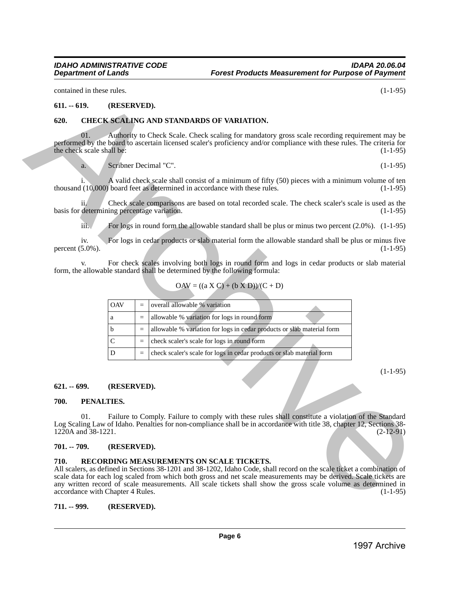#### <span id="page-5-0"></span>**611. -- 619. (RESERVED).**

#### <span id="page-5-1"></span>**620. CHECK SCALING AND STANDARDS OF VARIATION.**

### $OAV = ((a X C) + (b X D))/(C + D)$

| contained in these rules.                |            |                       |                   |                                                                                                                                                                                                                                                                                                                                                                                                           | $(1-1-95)$  |
|------------------------------------------|------------|-----------------------|-------------------|-----------------------------------------------------------------------------------------------------------------------------------------------------------------------------------------------------------------------------------------------------------------------------------------------------------------------------------------------------------------------------------------------------------|-------------|
| $611. - 619.$                            |            | (RESERVED).           |                   |                                                                                                                                                                                                                                                                                                                                                                                                           |             |
| 620.                                     |            |                       |                   | CHECK SCALING AND STANDARDS OF VARIATION.                                                                                                                                                                                                                                                                                                                                                                 |             |
| the check scale shall be:                | 01.        |                       |                   | Authority to Check Scale. Check scaling for mandatory gross scale recording requirement may be<br>performed by the board to ascertain licensed scaler's proficiency and/or compliance with these rules. The criteria for                                                                                                                                                                                  | $(1-1-95)$  |
|                                          | a.         | Scribner Decimal "C". |                   |                                                                                                                                                                                                                                                                                                                                                                                                           | $(1-1-95)$  |
|                                          |            |                       |                   | A valid check scale shall consist of a minimum of fifty (50) pieces with a minimum volume of ten<br>thousand (10,000) board feet as determined in accordance with these rules.                                                                                                                                                                                                                            | $(1-1-95)$  |
|                                          | 11/        |                       |                   | Check scale comparisons are based on total recorded scale. The check scaler's scale is used as the<br>basis for determining percentage variation.                                                                                                                                                                                                                                                         | $(1-1-95)$  |
|                                          | iii.       |                       |                   | For logs in round form the allowable standard shall be plus or minus two percent $(2.0\%)$ . $(1-1-95)$                                                                                                                                                                                                                                                                                                   |             |
| percent $(5.0\%)$ .                      | iv.        |                       |                   | For logs in cedar products or slab material form the allowable standard shall be plus or minus five                                                                                                                                                                                                                                                                                                       | $(1-1-95)$  |
|                                          |            |                       |                   | For check scales involving both logs in round form and logs in cedar products or slab material<br>form, the allowable standard shall be determined by the following formula:                                                                                                                                                                                                                              |             |
|                                          |            |                       |                   | $OAV = ((a X C) + (b X D))/(C + D)$                                                                                                                                                                                                                                                                                                                                                                       |             |
|                                          |            | <b>OAV</b>            | $\qquad \qquad =$ | overall allowable % variation                                                                                                                                                                                                                                                                                                                                                                             |             |
|                                          |            | a                     | $\equiv$          | allowable % variation for logs in round form                                                                                                                                                                                                                                                                                                                                                              |             |
|                                          |            | b                     | $\equiv$          | allowable % variation for logs in cedar products or slab material form                                                                                                                                                                                                                                                                                                                                    |             |
|                                          |            | $\mathsf{C}$          | $\equiv$          | check scaler's scale for logs in round form                                                                                                                                                                                                                                                                                                                                                               |             |
|                                          |            | D                     | $\equiv$          | check scaler's scale for logs in cedar products or slab material form                                                                                                                                                                                                                                                                                                                                     |             |
| $621 - 699$ .                            |            | (RESERVED).           |                   |                                                                                                                                                                                                                                                                                                                                                                                                           | $(1-1-95)$  |
| 700.                                     | PENALTIES. |                       |                   |                                                                                                                                                                                                                                                                                                                                                                                                           |             |
| 1220A and 38-1221.                       | 01.        |                       |                   | Failure to Comply. Failure to comply with these rules shall constitute a violation of the Standard<br>Log Scaling Law of Idaho. Penalties for non-compliance shall be in accordance with title 38, chapter 12, Sections 38-                                                                                                                                                                               | $(2-12-91)$ |
| 701. -- 709.                             |            | (RESERVED).           |                   |                                                                                                                                                                                                                                                                                                                                                                                                           |             |
| 710.<br>accordance with Chapter 4 Rules. |            |                       |                   | RECORDING MEASUREMENTS ON SCALE TICKETS.<br>All scalers, as defined in Sections 38-1201 and 38-1202, Idaho Code, shall record on the scale ticket a combination of<br>scale data for each log scaled from which both gross and net scale measurements may be derived. Scale tickets are<br>any written record of scale measurements. All scale tickets shall show the gross scale volume as determined in | $(1-1-95)$  |
| 711. -- 999.                             |            | (RESERVED).           |                   |                                                                                                                                                                                                                                                                                                                                                                                                           |             |
|                                          |            |                       |                   |                                                                                                                                                                                                                                                                                                                                                                                                           |             |
|                                          |            |                       |                   | Page 6                                                                                                                                                                                                                                                                                                                                                                                                    |             |

#### <span id="page-5-2"></span>**621. -- 699. (RESERVED).**

#### <span id="page-5-3"></span>**700. PENALTIES.**

#### <span id="page-5-4"></span>**701. -- 709. (RESERVED).**

#### <span id="page-5-5"></span>**710. RECORDING MEASUREMENTS ON SCALE TICKETS.**

#### <span id="page-5-6"></span>**711. -- 999. (RESERVED).**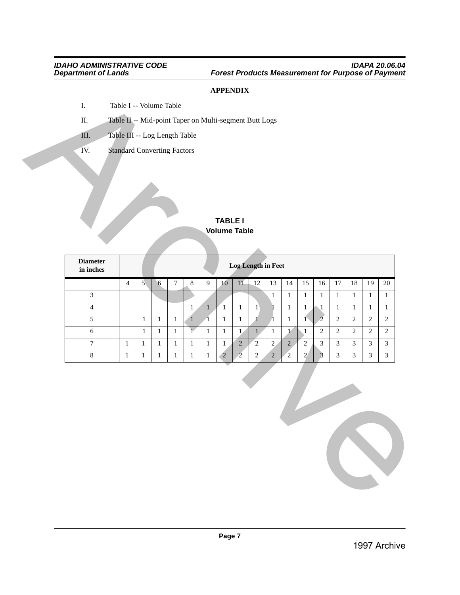# **APPENDIX**

- I. Table I -- Volume Table
- II. Table II -- Mid-point Taper on Multi-segment Butt Logs
- III. Table III -- Log Length Table
- IV. Standard Converting Factors

# **TABLE I Volume Table**

|                                   |                |              |       |                  |                |                | <b>TABLE I</b><br><b>Volume Table</b> |                |                           |                |                |                 |                |                |                |                |                |
|-----------------------------------|----------------|--------------|-------|------------------|----------------|----------------|---------------------------------------|----------------|---------------------------|----------------|----------------|-----------------|----------------|----------------|----------------|----------------|----------------|
| <b>Diameter</b><br>$\,$ in inches |                |              |       |                  |                |                |                                       |                | <b>Log Length in Feet</b> |                |                |                 |                |                |                |                |                |
|                                   | $\overline{4}$ | $\mathbf{5}$ | 6     | $\boldsymbol{7}$ | $\,8\,$        | $\overline{9}$ | 10 <sup>°</sup>                       | 11             | $\overline{12}$           | 13             | 14             | 15              | $16\,$         | 17             | $18\,$         | 19             | $20\,$         |
| $\overline{3}$                    |                |              |       |                  |                |                |                                       |                |                           | $1\,$          | $\mathbf{1}$   | $\mathbf{1}$    | $\,1\,$        | $\mathbf{1}$   | $\,1$          | $\,1\,$        | $\mathbf{1}$   |
| $\overline{4}$                    |                |              |       |                  | $\,1\,$        | $\mathbf{1}$   | $\overline{1}$                        | $\mathbf{1}$   | $\mathbf{1}$              | $\mathbf{1}$   | $\mathbf{1}$   | $\mathbf{1}$    | $\sqrt{1}$     | $\mathbf{1}$   | $1\,$          | $\,1\,$        | $\mathbf{1}$   |
| $5\overline{)}$                   |                | $\mathbf{1}$ | $\,1$ | $\,1$            | $\overline{1}$ | $\sqrt{1}$     | $\,1\,$                               | $\,1\,$        | $\mathbf{1}$              | $\Lambda$      | $\,1\,$        | $1\overline{ }$ | $\overline{2}$ | 2              | $\overline{2}$ | $\overline{c}$ | $\overline{2}$ |
| $\sqrt{6}$                        |                | $\,1$        | $1\,$ | $\,1$            | $\overline{1}$ | $\,1$          | $\,1\,$                               | 1              | $1\,$                     | $\mathbf{1}$   | $\mathbf{1}$   | $\sqrt{1}$      | $\sqrt{2}$     | $\sqrt{2}$     | $\sqrt{2}$     | $\sqrt{2}$     | $\overline{2}$ |
| $\overline{7}$                    | $\mathbf{1}$   | $\,1\,$      | $1\,$ | $\,1$            | $\mathbf{1}$   | $\mathbf{1}$   | $1\,$                                 | $\sqrt{2}$     | $\overline{2}$            | $\overline{2}$ | $\overline{2}$ | $\sqrt{2}$      | $\overline{3}$ | $\mathfrak{Z}$ | $\mathfrak{Z}$ | $\mathfrak{Z}$ | $\overline{3}$ |
| $8\,$                             | $\,1$          | $\mathbf{1}$ | $\,1$ | $\,1$            | $1\,$          | $\mathbf{1}$   | $\overline{2}$                        | $\overline{2}$ | $\overline{2}$            | $\overline{2}$ | $\sqrt{2}$     | 2 <sup>′</sup>  | $\overline{3}$ | $\overline{3}$ | $\overline{3}$ | $\mathfrak{Z}$ | $\mathfrak{Z}$ |
|                                   |                |              |       |                  |                |                |                                       |                |                           |                |                |                 |                |                |                |                |                |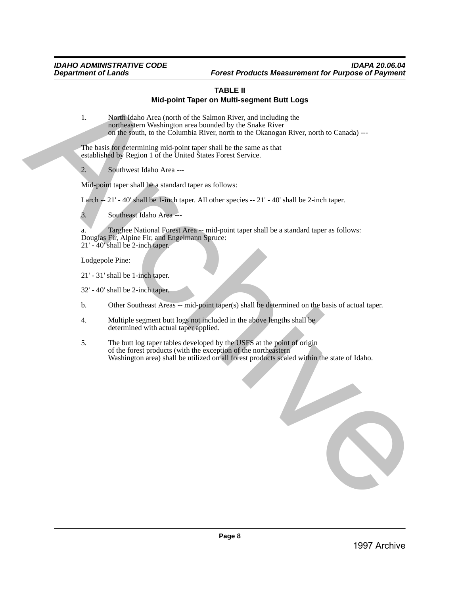# **TABLE II Mid-point Taper on Multi-segment Butt Logs**

1. North Idaho Area (north of the Salmon River, and including the northeastern Washington area bounded by the Snake River on the south, to the Columbia River, north to the Okanogan River, north to Canada) ---

The basis for determining mid-point taper shall be the same as that established by Region 1 of the United States Forest Service.

2. Southwest Idaho Area ---

Mid-point taper shall be a standard taper as follows:

Larch  $-21'$  - 40' shall be 1-inch taper. All other species  $-21'$  - 40' shall be 2-inch taper.

3. Southeast Idaho Area ---

a. Targhee National Forest Area -- mid-point taper shall be a standard taper as follows: Douglas Fir, Alpine Fir, and Engelmann Spruce: 21' - 40' shall be 2-inch taper.

Lodgepole Pine:

21' - 31' shall be 1-inch taper.

32' - 40' shall be 2-inch taper.

- b. Other Southeast Areas -- mid-point taper(s) shall be determined on the basis of actual taper.
- 4. Multiple segment butt logs not included in the above lengths shall be determined with actual taper applied.
- 5. The butt log taper tables developed by the USFS at the point of origin of the forest products (with the exception of the northeastern Washington area) shall be utilized on all forest products scaled within the state of Idaho.

**1997**<br>
1. Mistelland Material The Child Ell II (10) Ell II (10) Contained Contains (10) and (10) and (10) and (10) and (10) and (10) and (10) and (10) and (10) and (10) and (10) and (10) and (10) and (10) and (10) and (1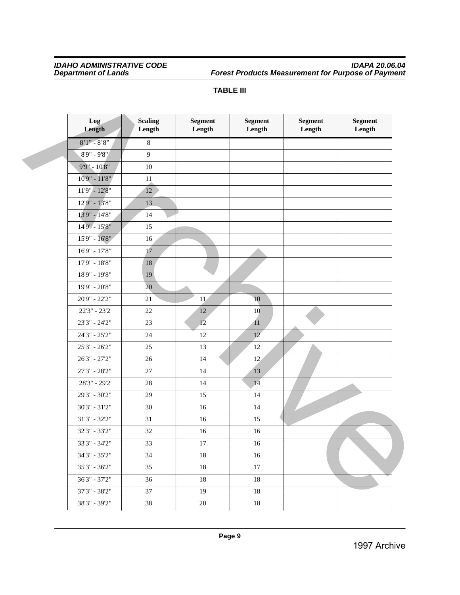### *IDAHO ADMINISTRATIVE CODE IDAPA 20.06.04 Department of Lands Forest Products Measurement for Purpose of Payment*

| –<br>. . | н<br>н |
|----------|--------|
|          |        |

| Log<br>Length     | <b>Scaling</b><br>Length | <b>Segment</b><br>Length | <b>Segment</b><br>Length | <b>Segment</b><br>Length | <b>Segment</b><br>Length |
|-------------------|--------------------------|--------------------------|--------------------------|--------------------------|--------------------------|
| $8'1'' - 8'8''$   | $8\,$                    |                          |                          |                          |                          |
| 8'9" - 9'8"       | 9                        |                          |                          |                          |                          |
| 9'9" - 10'8"      | $10\,$                   |                          |                          |                          |                          |
| 10'9" - 11'8"     | $11\,$                   |                          |                          |                          |                          |
| $11'9'' - 12'8''$ | 12                       |                          |                          |                          |                          |
| 12'9" - 13'8"     | 13                       |                          |                          |                          |                          |
| 13'9" - 14'8"     | 14                       |                          |                          |                          |                          |
| 14'9" - 15'8"     | 15                       |                          |                          |                          |                          |
| 15'9" - 16'8"     | 16                       |                          |                          |                          |                          |
| $16'9'' - 17'8''$ | 17                       |                          |                          |                          |                          |
| $17'9'' - 18'8''$ | $18\,$                   |                          |                          |                          |                          |
| 18'9" - 19'8"     | 19                       |                          |                          |                          |                          |
| 19'9" - 20'8"     | 20                       |                          |                          |                          |                          |
| 20'9" - 22'2"     | 21                       | 11                       | $10$                     |                          |                          |
| $22'3'' - 23'2$   | $22\,$                   | $12\,$                   | 10                       |                          |                          |
| 23'3" - 24'2"     | 23                       | 12                       | 11                       |                          |                          |
| 24'3" - 25'2"     | 24                       | 12                       | 12                       |                          |                          |
| $25'3'' - 26'2''$ | $25\,$                   | 13                       | 12                       |                          |                          |
| 26'3" - 27'2"     | 26                       | 14                       | 12                       |                          |                          |
| $27'3'' - 28'2''$ | 27                       | 14                       | 13                       |                          |                          |
| 28'3" - 29'2      | $28\,$                   | 14                       | 14                       |                          |                          |
| 29'3" - 30'2"     | 29                       | 15                       | 14                       |                          |                          |
| $30'3" - 31'2"$   | 30                       | 16                       | 14                       |                          |                          |
| $31'3'' - 32'2''$ | 31                       | 16                       | 15                       |                          |                          |
| 32'3" - 33'2"     | 32                       | 16                       | 16                       |                          |                          |
| 33'3" - 34'2"     | 33                       | $17\,$                   | 16                       |                          |                          |
| $34'3" - 35'2"$   | 34                       | 18                       | 16                       |                          |                          |
| $35'3'' - 36'2''$ | 35                       | 18                       | $17\,$                   |                          |                          |
| $36'3" - 37'2"$   | 36                       | 18                       | 18                       |                          |                          |
| $37'3" - 38'2"$   | 37                       | 19                       | 18                       |                          |                          |
| 38'3" - 39'2"     | $38\,$                   | $20\,$                   | $18\,$                   |                          |                          |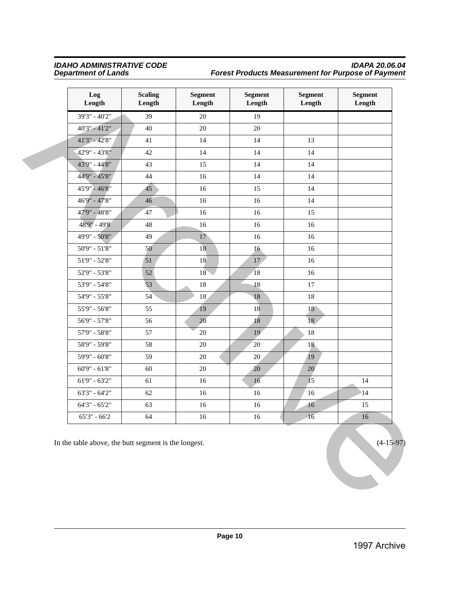## *IDAHO ADMINISTRATIVE CODE IDAPA 20.06.04 Department of Lands Forest Products Measurement for Purpose of Payment*

| Length        |
|---------------|
|               |
|               |
|               |
|               |
|               |
|               |
|               |
|               |
|               |
|               |
|               |
|               |
|               |
|               |
|               |
|               |
|               |
|               |
|               |
|               |
|               |
|               |
| 14            |
| $\mathbf{14}$ |
| 15            |
| 16            |
|               |